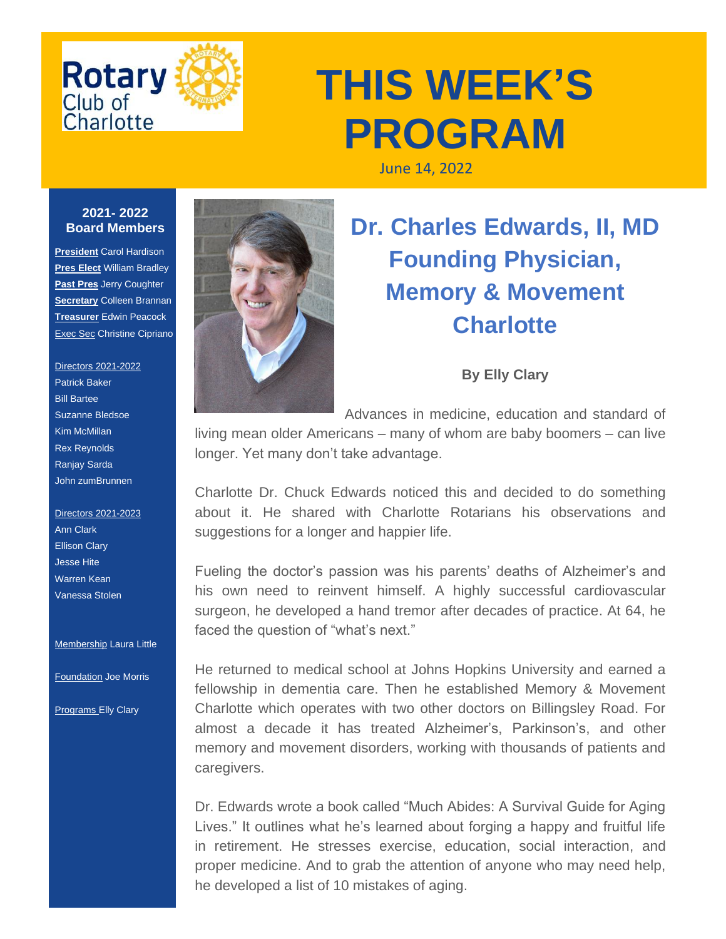

## **THIS WEEK'S PROGRAM**

June 14, 2022

## **2021- 2022 Board Members**

**President** Carol Hardison **Pres Elect** William Bradley **Past Pres** Jerry Coughter **Secretary** Colleen Brannan **Treasurer** Edwin Peacock Exec Sec Christine Cipriano

## Directors 2021-2022 Patrick Baker Bill Bartee Suzanne Bledsoe Kim McMillan Rex Reynolds Ranjay Sarda John zumBrunnen

Directors 2021-2023 Ann Clark Ellison Clary Jesse Hite Warren Kean Vanessa Stolen

**Membership Laura Little** 

Foundation Joe Morris

**Programs Elly Clary** 



## **Dr. Charles Edwards, II, MD Founding Physician, Memory & Movement Charlotte**

**By Elly Clary**

Advances in medicine, education and standard of

living mean older Americans – many of whom are baby boomers – can live longer. Yet many don't take advantage.

Charlotte Dr. Chuck Edwards noticed this and decided to do something about it. He shared with Charlotte Rotarians his observations and suggestions for a longer and happier life.

Fueling the doctor's passion was his parents' deaths of Alzheimer's and his own need to reinvent himself. A highly successful cardiovascular surgeon, he developed a hand tremor after decades of practice. At 64, he faced the question of "what's next."

He returned to medical school at Johns Hopkins University and earned a fellowship in dementia care. Then he established Memory & Movement Charlotte which operates with two other doctors on Billingsley Road. For almost a decade it has treated Alzheimer's, Parkinson's, and other memory and movement disorders, working with thousands of patients and caregivers.

Dr. Edwards wrote a book called "Much Abides: A Survival Guide for Aging Lives." It outlines what he's learned about forging a happy and fruitful life in retirement. He stresses exercise, education, social interaction, and proper medicine. And to grab the attention of anyone who may need help, he developed a list of 10 mistakes of aging.